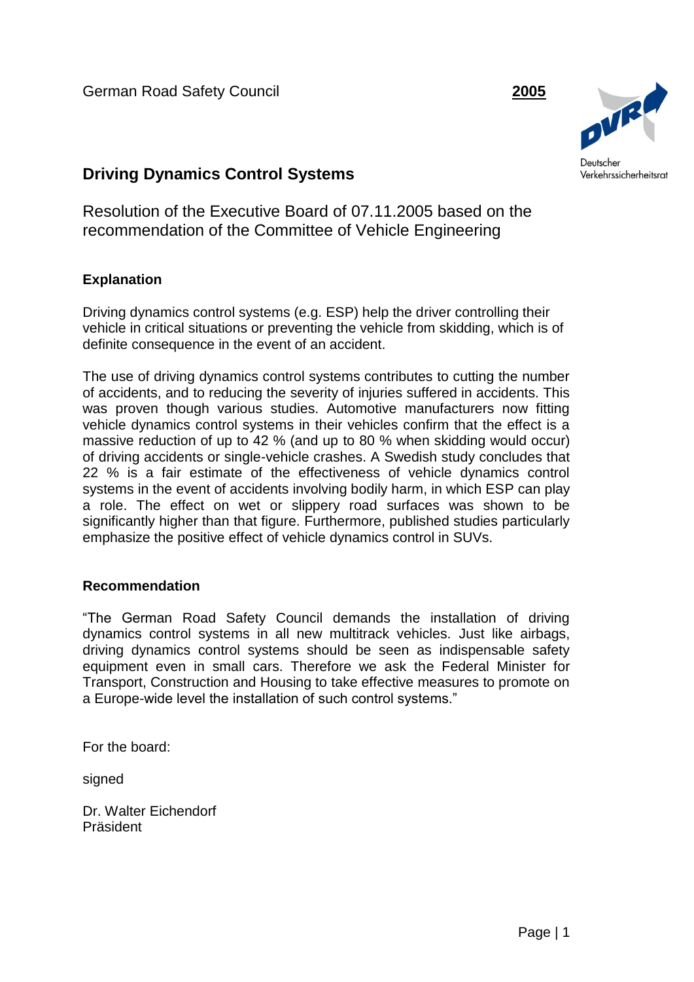German Road Safety Council **2005**



## **Driving Dynamics Control Systems**

Resolution of the Executive Board of 07.11.2005 based on the recommendation of the Committee of Vehicle Engineering

## **Explanation**

Driving dynamics control systems (e.g. ESP) help the driver controlling their vehicle in critical situations or preventing the vehicle from skidding, which is of definite consequence in the event of an accident.

The use of driving dynamics control systems contributes to cutting the number of accidents, and to reducing the severity of injuries suffered in accidents. This was proven though various studies. Automotive manufacturers now fitting vehicle dynamics control systems in their vehicles confirm that the effect is a massive reduction of up to 42 % (and up to 80 % when skidding would occur) of driving accidents or single-vehicle crashes. A Swedish study concludes that 22 % is a fair estimate of the effectiveness of vehicle dynamics control systems in the event of accidents involving bodily harm, in which ESP can play a role. The effect on wet or slippery road surfaces was shown to be significantly higher than that figure. Furthermore, published studies particularly emphasize the positive effect of vehicle dynamics control in SUVs.

## **Recommendation**

"The German Road Safety Council demands the installation of driving dynamics control systems in all new multitrack vehicles. Just like airbags, driving dynamics control systems should be seen as indispensable safety equipment even in small cars. Therefore we ask the Federal Minister for Transport, Construction and Housing to take effective measures to promote on a Europe-wide level the installation of such control systems."

For the board:

signed

Dr. Walter Eichendorf Präsident